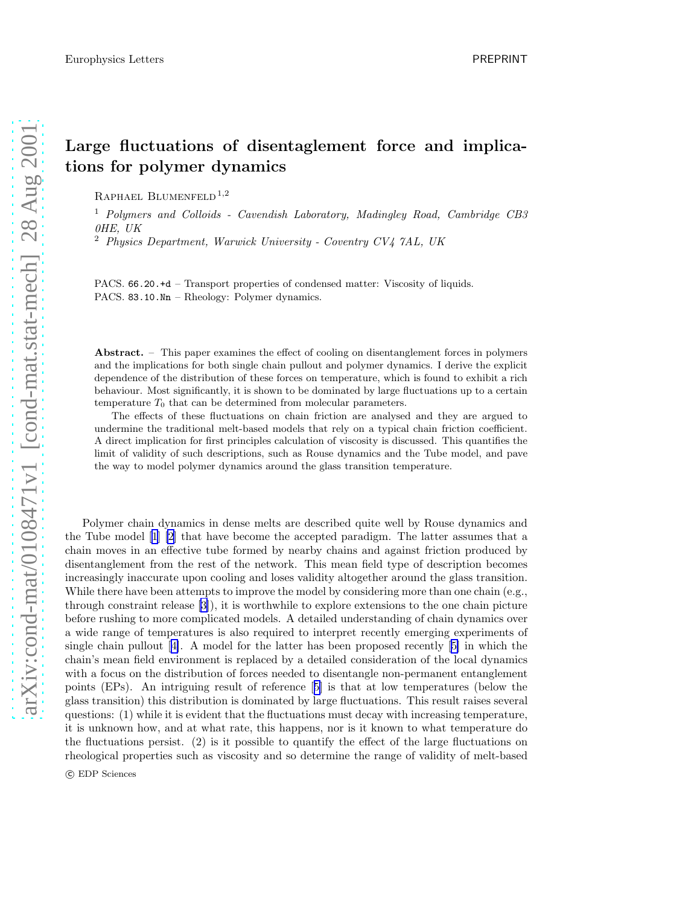## Large fluctuations of disentaglement force and implications for polymer dynamics

RAPHAEL BLUMENFELD<sup>1,2</sup>

<sup>1</sup> Polymers and Colloids - Cavendish Laboratory, Madingley Road, Cambridge CB3 0HE, UK

<sup>2</sup> Physics Department, Warwick University - Coventry CV4 7AL, UK

PACS. 66.20.+d – Transport properties of condensed matter: Viscosity of liquids. PACS. 83.10.Nn – Rheology: Polymer dynamics.

Abstract. – This paper examines the effect of cooling on disentanglement forces in polymers and the implications for both single chain pullout and polymer dynamics. I derive the explicit dependence of the distribution of these forces on temperature, which is found to exhibit a rich behaviour. Most significantly, it is shown to be dominated by large fluctuations up to a certain temperature  $T_0$  that can be determined from molecular parameters.

The effects of these fluctuations on chain friction are analysed and they are argued to undermine the traditional melt-based models that rely on a typical chain friction coefficient. A direct implication for first principles calculation of viscosity is discussed. This quantifies the limit of validity of such descriptions, such as Rouse dynamics and the Tube model, and pave the way to model polymer dynamics around the glass transition temperature.

Polymer chain dynamics in dense melts are described quite well by Rouse dynamics and the Tube model[[1\] \[2](#page-6-0)] that have become the accepted paradigm. The latter assumes that a chain moves in an effective tube formed by nearby chains and against friction produced by disentanglement from the rest of the network. This mean field type of description becomes increasingly inaccurate upon cooling and loses validity altogether around the glass transition. While there have been attempts to improve the model by considering more than one chain (e.g., through constraint release[[3\]](#page-6-0)), it is worthwhile to explore extensions to the one chain picture before rushing to more complicated models. A detailed understanding of chain dynamics over a wide range of temperatures is also required to interpret recently emerging experiments of single chain pullout[[4\]](#page-6-0). A model for the latter has been proposed recently[[5\]](#page-6-0) in which the chain's mean field environment is replaced by a detailed consideration of the local dynamics with a focus on the distribution of forces needed to disentangle non-permanent entanglement points (EPs). An intriguing result of reference[[5\]](#page-6-0) is that at low temperatures (below the glass transition) this distribution is dominated by large fluctuations. This result raises several questions: (1) while it is evident that the fluctuations must decay with increasing temperature, it is unknown how, and at what rate, this happens, nor is it known to what temperature do the fluctuations persist. (2) is it possible to quantify the effect of the large fluctuations on rheological properties such as viscosity and so determine the range of validity of melt-based

c EDP Sciences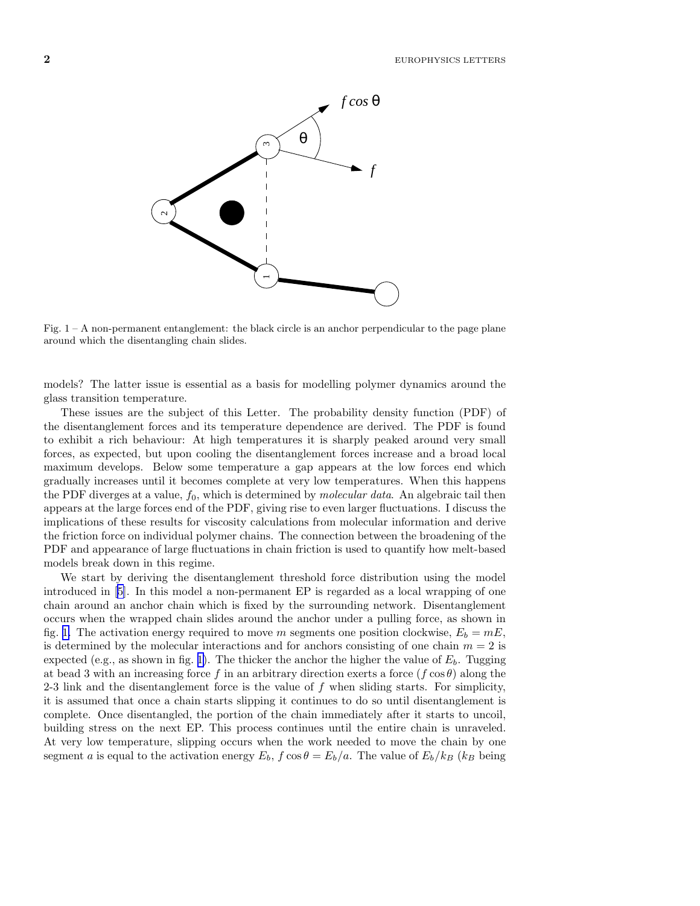

Fig.  $1 - A$  non-permanent entanglement: the black circle is an anchor perpendicular to the page plane around which the disentangling chain slides.

models? The latter issue is essential as a basis for modelling polymer dynamics around the glass transition temperature.

These issues are the subject of this Letter. The probability density function (PDF) of the disentanglement forces and its temperature dependence are derived. The PDF is found to exhibit a rich behaviour: At high temperatures it is sharply peaked around very small forces, as expected, but upon cooling the disentanglement forces increase and a broad local maximum develops. Below some temperature a gap appears at the low forces end which gradually increases until it becomes complete at very low temperatures. When this happens the PDF diverges at a value,  $f_0$ , which is determined by *molecular data*. An algebraic tail then appears at the large forces end of the PDF, giving rise to even larger fluctuations. I discuss the implications of these results for viscosity calculations from molecular information and derive the friction force on individual polymer chains. The connection between the broadening of the PDF and appearance of large fluctuations in chain friction is used to quantify how melt-based models break down in this regime.

We start by deriving the disentanglement threshold force distribution using the model introduced in[[5\]](#page-6-0). In this model a non-permanent EP is regarded as a local wrapping of one chain around an anchor chain which is fixed by the surrounding network. Disentanglement occurs when the wrapped chain slides around the anchor under a pulling force, as shown in fig. 1. The activation energy required to move m segments one position clockwise,  $E_b = mE$ , is determined by the molecular interactions and for anchors consisting of one chain  $m = 2$  is expected (e.g., as shown in fig. 1). The thicker the anchor the higher the value of  $E<sub>b</sub>$ . Tugging at bead 3 with an increasing force f in an arbitrary direction exerts a force  $(f \cos \theta)$  along the 2-3 link and the disentanglement force is the value of  $f$  when sliding starts. For simplicity, it is assumed that once a chain starts slipping it continues to do so until disentanglement is complete. Once disentangled, the portion of the chain immediately after it starts to uncoil, building stress on the next EP. This process continues until the entire chain is unraveled. At very low temperature, slipping occurs when the work needed to move the chain by one segment a is equal to the activation energy  $E_b$ ,  $f \cos \theta = E_b/a$ . The value of  $E_b/k_B$  (k<sub>B</sub> being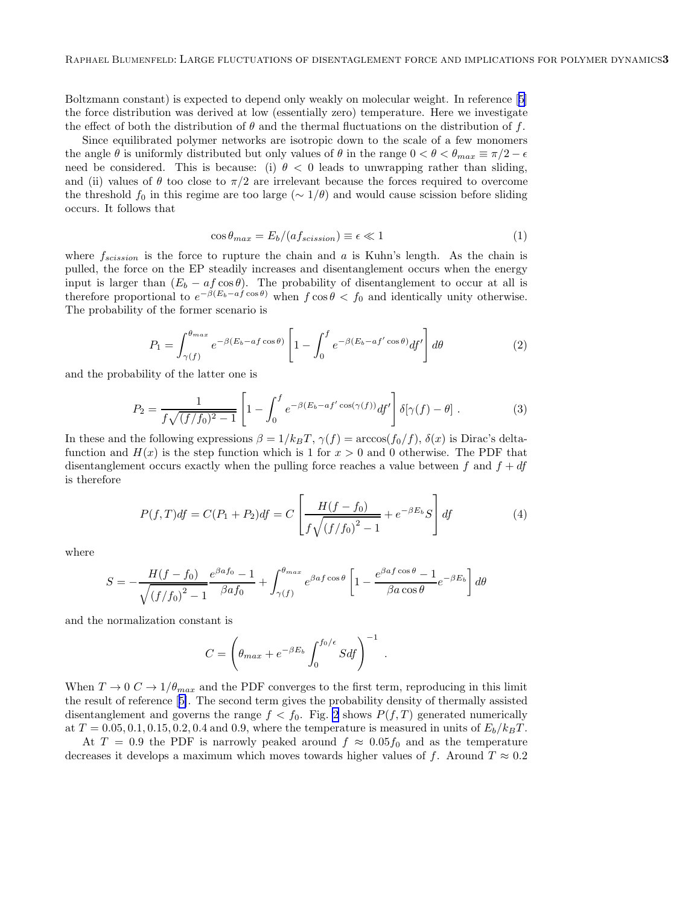<span id="page-2-0"></span>Boltzmann constant) is expected to depend only weakly on molecular weight. In reference[[5\]](#page-6-0) the force distribution was derived at low (essentially zero) temperature. Here we investigate the effect of both the distribution of  $\theta$  and the thermal fluctuations on the distribution of f.

Since equilibrated polymer networks are isotropic down to the scale of a few monomers the angle  $\theta$  is uniformly distributed but only values of  $\theta$  in the range  $0 < \theta < \theta_{max} \equiv \pi/2 - \epsilon$ need be considered. This is because: (i)  $\theta$  < 0 leads to unwrapping rather than sliding, and (ii) values of  $\theta$  too close to  $\pi/2$  are irrelevant because the forces required to overcome the threshold  $f_0$  in this regime are too large ( $\sim 1/\theta$ ) and would cause scission before sliding occurs. It follows that

$$
\cos \theta_{max} = E_b / (af_{scission}) \equiv \epsilon \ll 1 \tag{1}
$$

where  $f_{scission}$  is the force to rupture the chain and a is Kuhn's length. As the chain is pulled, the force on the EP steadily increases and disentanglement occurs when the energy input is larger than  $(E_b - af \cos \theta)$ . The probability of disentanglement to occur at all is therefore proportional to  $e^{-\beta(E_b-a\hat{f}\cos\theta)}$  when  $f\cos\theta < f_0$  and identically unity otherwise. The probability of the former scenario is

$$
P_1 = \int_{\gamma(f)}^{\theta_{max}} e^{-\beta (E_b - af \cos \theta)} \left[ 1 - \int_0^f e^{-\beta (E_b - af' \cos \theta)} df' \right] d\theta \tag{2}
$$

and the probability of the latter one is

$$
P_2 = \frac{1}{f\sqrt{(f/f_0)^2 - 1}} \left[ 1 - \int_0^f e^{-\beta(E_b - af'\cos(\gamma(f))} df' \right] \delta[\gamma(f) - \theta]. \tag{3}
$$

In these and the following expressions  $\beta = 1/k_BT$ ,  $\gamma(f) = \arccos(f_0/f)$ ,  $\delta(x)$  is Dirac's deltafunction and  $H(x)$  is the step function which is 1 for  $x > 0$  and 0 otherwise. The PDF that disentanglement occurs exactly when the pulling force reaches a value between f and  $f + df$ is therefore

$$
P(f,T)df = C(P_1 + P_2)df = C\left[\frac{H(f - f_0)}{f\sqrt{(f/f_0)^2 - 1}} + e^{-\beta E_b}S\right]df
$$
\n(4)

where

$$
S = -\frac{H(f - f_0)}{\sqrt{(f/f_0)^2 - 1}} \frac{e^{\beta a f_0} - 1}{\beta a f_0} + \int_{\gamma(f)}^{\theta_{max}} e^{\beta a f \cos \theta} \left[1 - \frac{e^{\beta a f \cos \theta} - 1}{\beta a \cos \theta} e^{-\beta E_b}\right] d\theta
$$

and the normalization constant is

$$
C = \left(\theta_{max} + e^{-\beta E_b} \int_0^{f_0/\epsilon} Sdf\right)^{-1} .
$$

When  $T \to 0 \, C \to 1/\theta_{max}$  and the PDF converges to the first term, reproducing in this limit the result of reference[[5\]](#page-6-0). The second term gives the probability density of thermally assisted disentanglement and governs the range  $f < f_0$ . Fig. [2](#page-3-0) shows  $P(f,T)$  generated numerically at  $T = 0.05, 0.1, 0.15, 0.2, 0.4$  and 0.9, where the temperature is measured in units of  $E_b/k_BT$ .

At  $T = 0.9$  the PDF is narrowly peaked around  $f \approx 0.05 f_0$  and as the temperature decreases it develops a maximum which moves towards higher values of f. Around  $T \approx 0.2$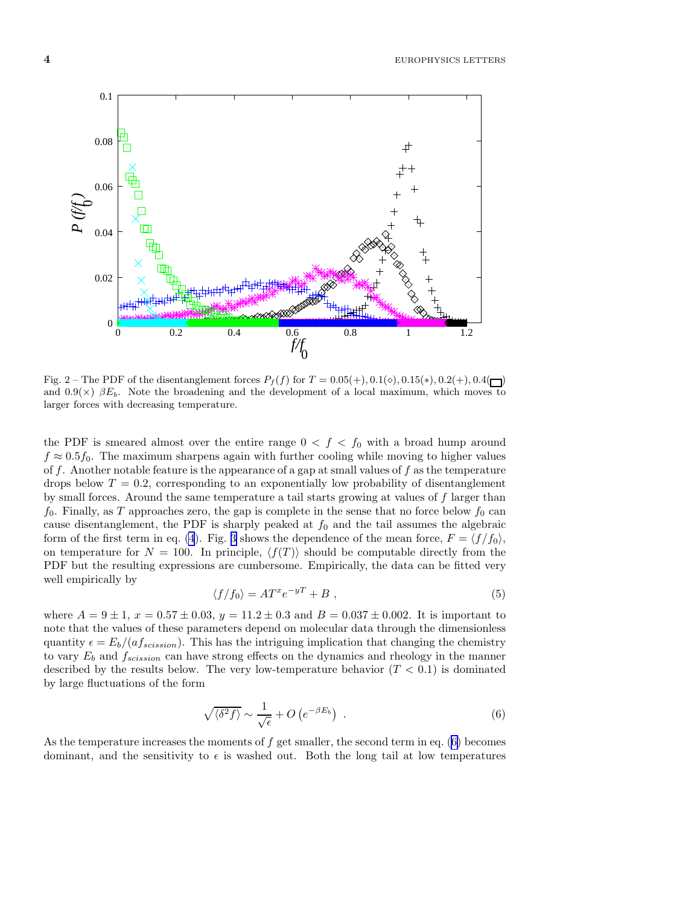<span id="page-3-0"></span> $4$  EUROPHYSICS LETTERS



Fig. 2 – The PDF of the disentanglement forces  $P_f(f)$  for  $T = 0.05(+)$ ,  $0.1(\diamond)$ ,  $0.15(*)$ ,  $0.2(+)$ ,  $0.4(\Box)$ and  $0.9(\times)$   $\beta E_b$ . Note the broadening and the development of a local maximum, which moves to larger forces with decreasing temperature.

the PDF is smeared almost over the entire range  $0 < f < f_0$  with a broad hump around  $f \approx 0.5f_0$ . The maximum sharpens again with further cooling while moving to higher values of f. Another notable feature is the appearance of a gap at small values of f as the temperature drops below  $T = 0.2$ , corresponding to an exponentially low probability of disentanglement by small forces. Around the same temperature a tail starts growing at values of f larger than  $f_0$ . Finally, as T approaches zero, the gap is complete in the sense that no force below  $f_0$  can cause disentanglement, the PDF is sharply peaked at  $f_0$  and the tail assumes the algebraic form of the first term in eq. [\(4](#page-2-0)). Fig. [3](#page-4-0) shows the dependence of the mean force,  $F = \langle f/f_0 \rangle$ , on temperature for  $N = 100$ . In principle,  $\langle f(T) \rangle$  should be computable directly from the PDF but the resulting expressions are cumbersome. Empirically, the data can be fitted very well empirically by

$$
\langle f/f_0 \rangle = A T^x e^{-y} + B \;, \tag{5}
$$

where  $A = 9 \pm 1$ ,  $x = 0.57 \pm 0.03$ ,  $y = 11.2 \pm 0.3$  and  $B = 0.037 \pm 0.002$ . It is important to note that the values of these parameters depend on molecular data through the dimensionless quantity  $\epsilon = E_b/(af_{scission})$ . This has the intriguing implication that changing the chemistry to vary  $E_b$  and  $f_{scission}$  can have strong effects on the dynamics and rheology in the manner described by the results below. The very low-temperature behavior  $(T < 0.1)$  is dominated by large fluctuations of the form

$$
\sqrt{\langle \delta^2 f \rangle} \sim \frac{1}{\sqrt{\epsilon}} + O\left(e^{-\beta E_b}\right) \tag{6}
$$

As the temperature increases the moments of  $f$  get smaller, the second term in eq. (6) becomes dominant, and the sensitivity to  $\epsilon$  is washed out. Both the long tail at low temperatures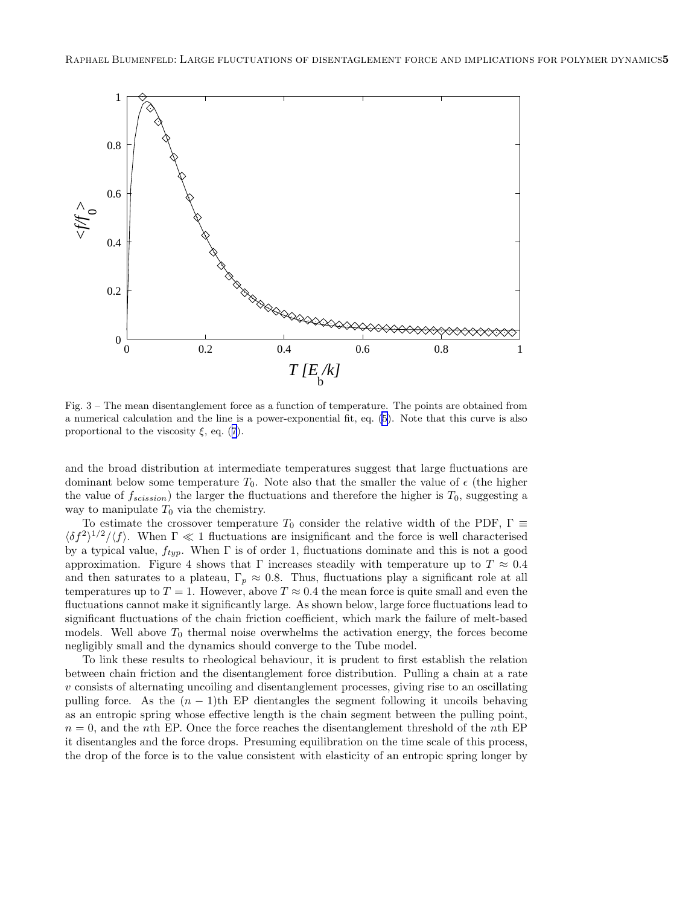<span id="page-4-0"></span>

Fig. 3 – The mean disentanglement force as a function of temperature. The points are obtained from a numerical calculation and the line is a power-exponential fit, eq. [\(5](#page-3-0)). Note that this curve is also proportionalto the viscosity  $\xi$ , eq. ([7](#page-5-0)).

and the broad distribution at intermediate temperatures suggest that large fluctuations are dominant below some temperature  $T_0$ . Note also that the smaller the value of  $\epsilon$  (the higher the value of  $f_{scission}$  the larger the fluctuations and therefore the higher is  $T_0$ , suggesting a way to manipulate  $T_0$  via the chemistry.

To estimate the crossover temperature  $T_0$  consider the relative width of the PDF,  $\Gamma \equiv$  $\langle \delta f^2 \rangle^{1/2} / \langle f \rangle$ . When  $\Gamma \ll 1$  fluctuations are insignificant and the force is well characterised by a typical value,  $f_{typ}$ . When  $\Gamma$  is of order 1, fluctuations dominate and this is not a good approximation. Figure 4 shows that  $\Gamma$  increases steadily with temperature up to  $T \approx 0.4$ and then saturates to a plateau,  $\Gamma_p \approx 0.8$ . Thus, fluctuations play a significant role at all temperatures up to  $T = 1$ . However, above  $T \approx 0.4$  the mean force is quite small and even the fluctuations cannot make it significantly large. As shown below, large force fluctuations lead to significant fluctuations of the chain friction coefficient, which mark the failure of melt-based models. Well above  $T_0$  thermal noise overwhelms the activation energy, the forces become negligibly small and the dynamics should converge to the Tube model.

To link these results to rheological behaviour, it is prudent to first establish the relation between chain friction and the disentanglement force distribution. Pulling a chain at a rate  $v$  consists of alternating uncoiling and disentanglement processes, giving rise to an oscillating pulling force. As the  $(n - 1)$ th EP dientangles the segment following it uncoils behaving as an entropic spring whose effective length is the chain segment between the pulling point,  $n = 0$ , and the nth EP. Once the force reaches the disentanglement threshold of the nth EP it disentangles and the force drops. Presuming equilibration on the time scale of this process, the drop of the force is to the value consistent with elasticity of an entropic spring longer by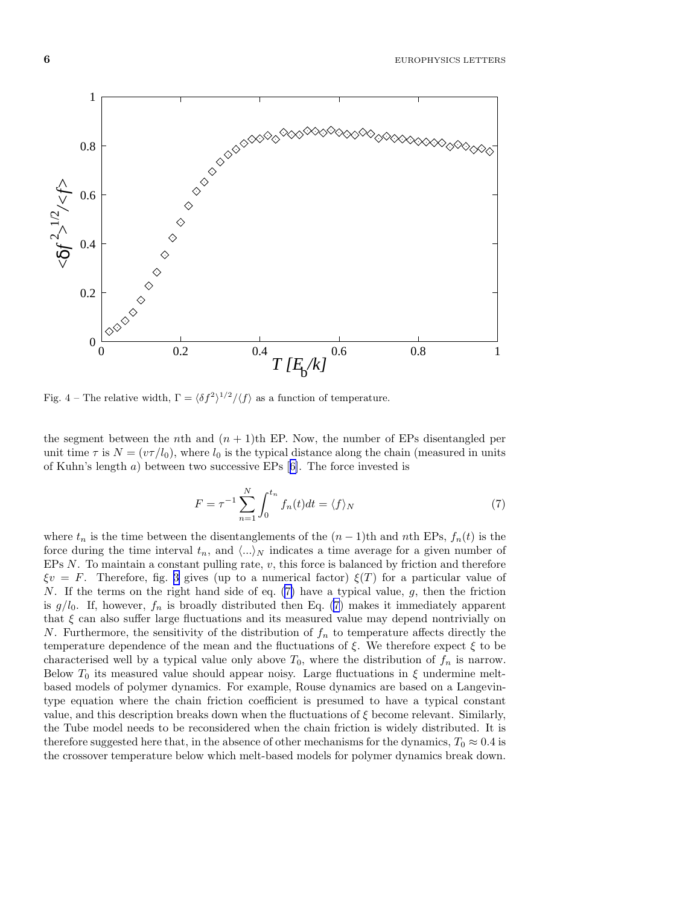<span id="page-5-0"></span>

Fig. 4 – The relative width,  $\Gamma = \langle \delta f^2 \rangle^{1/2} / \langle f \rangle$  as a function of temperature.

the segment between the nth and  $(n + 1)$ th EP. Now, the number of EPs disentangled per unit time  $\tau$  is  $N = (v\tau/l_0)$ , where  $l_0$  is the typical distance along the chain (measured in units of Kuhn's length a) between two successive EPs[[6\]](#page-6-0). The force invested is

$$
F = \tau^{-1} \sum_{n=1}^{N} \int_0^{t_n} f_n(t)dt = \langle f \rangle_N \tag{7}
$$

where  $t_n$  is the time between the disentanglements of the  $(n-1)$ th and nth EPs,  $f_n(t)$  is the force during the time interval  $t_n$ , and  $\langle ... \rangle_N$  indicates a time average for a given number of EPs  $N$ . To maintain a constant pulling rate,  $v$ , this force is balanced by friction and therefore  $\xi v = F$ . Therefore, fig. [3](#page-4-0) gives (up to a numerical factor)  $\xi(T)$  for a particular value of N. If the terms on the right hand side of eq. (7) have a typical value, g, then the friction is  $g/l_0$ . If, however,  $f_n$  is broadly distributed then Eq. (7) makes it immediately apparent that  $\xi$  can also suffer large fluctuations and its measured value may depend nontrivially on N. Furthermore, the sensitivity of the distribution of  $f_n$  to temperature affects directly the temperature dependence of the mean and the fluctuations of  $\xi$ . We therefore expect  $\xi$  to be characterised well by a typical value only above  $T_0$ , where the distribution of  $f_n$  is narrow. Below  $T_0$  its measured value should appear noisy. Large fluctuations in  $\xi$  undermine meltbased models of polymer dynamics. For example, Rouse dynamics are based on a Langevintype equation where the chain friction coefficient is presumed to have a typical constant value, and this description breaks down when the fluctuations of  $\xi$  become relevant. Similarly, the Tube model needs to be reconsidered when the chain friction is widely distributed. It is therefore suggested here that, in the absence of other mechanisms for the dynamics,  $T_0 \approx 0.4$  is the crossover temperature below which melt-based models for polymer dynamics break down.